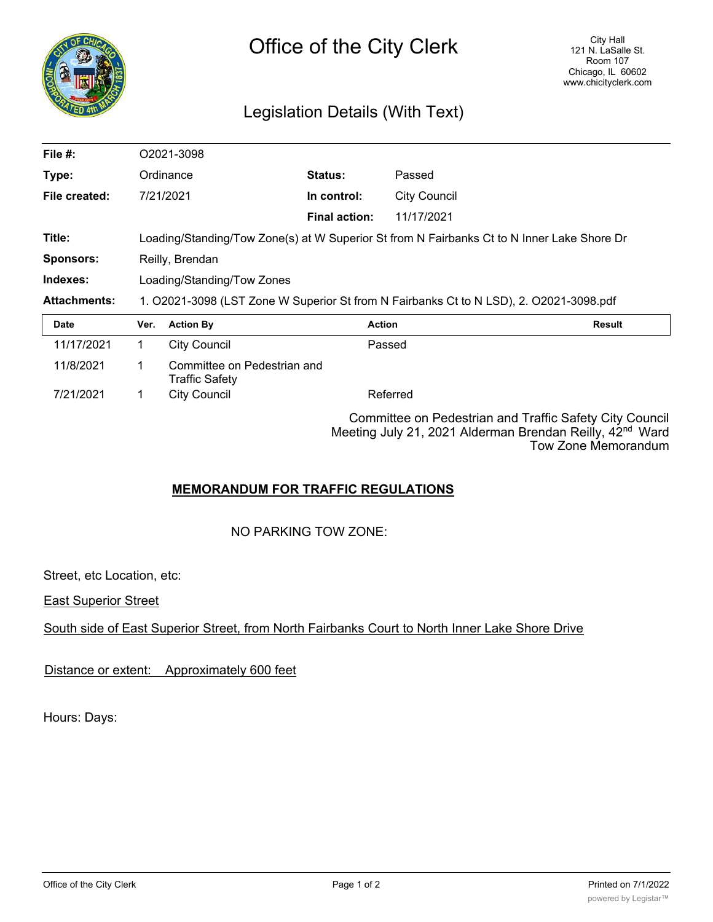

## Legislation Details (With Text)

| File #:             | O2021-3098                                                                                 |                                                      |                      |                     |        |
|---------------------|--------------------------------------------------------------------------------------------|------------------------------------------------------|----------------------|---------------------|--------|
| Type:               |                                                                                            | Ordinance                                            | Status:              | Passed              |        |
| File created:       |                                                                                            | 7/21/2021                                            | In control:          | <b>City Council</b> |        |
|                     |                                                                                            |                                                      | <b>Final action:</b> | 11/17/2021          |        |
| Title:              | Loading/Standing/Tow Zone(s) at W Superior St from N Fairbanks Ct to N Inner Lake Shore Dr |                                                      |                      |                     |        |
| <b>Sponsors:</b>    | Reilly, Brendan                                                                            |                                                      |                      |                     |        |
| Indexes:            | Loading/Standing/Tow Zones                                                                 |                                                      |                      |                     |        |
| <b>Attachments:</b> | 1. O2021-3098 (LST Zone W Superior St from N Fairbanks Ct to N LSD), 2. O2021-3098.pdf     |                                                      |                      |                     |        |
| Date                | Ver.                                                                                       | <b>Action By</b>                                     |                      | <b>Action</b>       | Result |
| 11/17/2021          | 1.                                                                                         | <b>City Council</b>                                  |                      | Passed              |        |
| 11/8/2021           | 1.                                                                                         | Committee on Pedestrian and<br><b>Traffic Safety</b> |                      |                     |        |
| 7/21/2021           | 1                                                                                          | <b>City Council</b>                                  |                      | Referred            |        |
|                     |                                                                                            |                                                      |                      |                     |        |

Committee on Pedestrian and Traffic Safety City Council Meeting July 21, 2021 Alderman Brendan Reilly, 42<sup>nd</sup> Ward Tow Zone Memorandum

## **MEMORANDUM FOR TRAFFIC REGULATIONS**

NO PARKING TOW ZONE:

Street, etc Location, etc:

East Superior Street

South side of East Superior Street, from North Fairbanks Court to North Inner Lake Shore Drive

Distance or extent: Approximately 600 feet

Hours: Days: